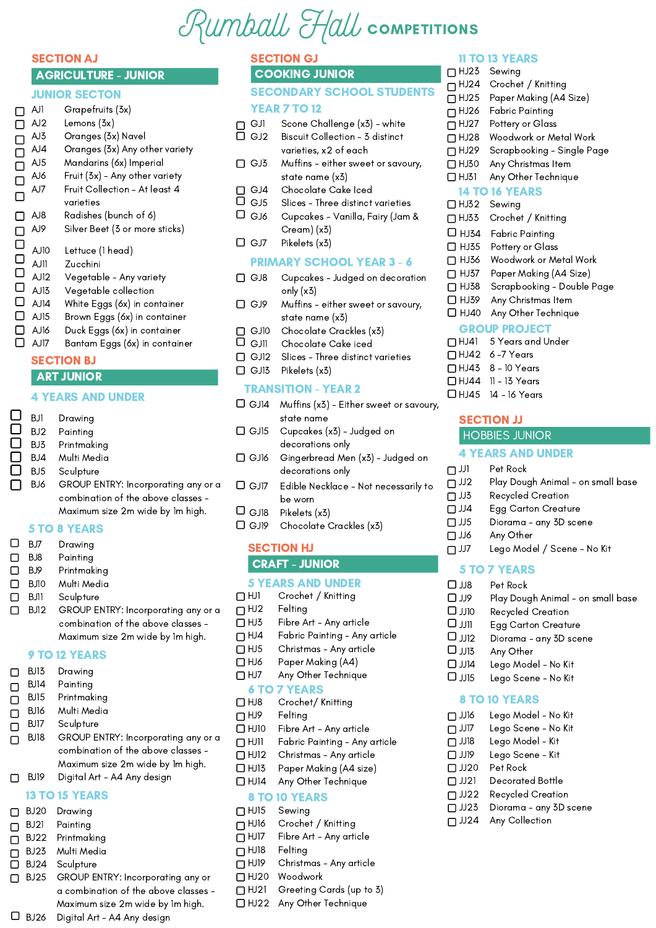## Rumball Hall COMPETITIONS

#### **SECTION AJ** AGRICULTURE - JUNIOR

#### JUNIOR SECTON

| П<br>П<br>$\Box$<br>П | AJ1<br>AJ2<br>AJ3<br>AJ4<br>AJ5<br>AJ6<br>AJ7 | Grapefruits (3x)<br>Lemons (3x)<br>Oranges (3x) Navel<br>Oranges (3x) Any other variety<br>Mandarins (6x) Imperial<br>Fruit (3x) – Any other variety<br>Fruit Collection - At least 4 |
|-----------------------|-----------------------------------------------|---------------------------------------------------------------------------------------------------------------------------------------------------------------------------------------|
|                       |                                               | varieties                                                                                                                                                                             |
|                       | AJ8<br>AJ9                                    | Radishes (bunch of 6)<br>Silver Beet (3 or more sticks)                                                                                                                               |
| $\Box$<br>0<br>0<br>0 | AJ10<br>AJ11<br>AJ12                          | Lettuce (1 head)<br>Zucchini<br>Vegetable - Any variety                                                                                                                               |
| $\Box$<br>□           | AJ13<br>AJ14                                  | Vegetable collection<br>White Eggs (6x) in container                                                                                                                                  |
| □                     | AJ15                                          | Brown Eggs (6x) in container                                                                                                                                                          |
| Γ<br>LΙ               | AJ16<br>AJ17                                  | Duck Eggs (6x) in container<br>Bantam Eggs (6x) in container                                                                                                                          |

#### **SECTION BJ ART JUNIOR**

#### 4 YEARS AND UNDER

| BJ1             | Drawing                             |  |
|-----------------|-------------------------------------|--|
| BJ2             | Painting                            |  |
| BJ3             | Printmaking                         |  |
| BJ4             | Multi Media                         |  |
| BJ <sub>5</sub> | Sculpture                           |  |
| BJ6             | GROUP ENTRY: Incorporating any or a |  |
|                 | combination of the above classes -  |  |
|                 | Maximum size 2m wide by 1m high.    |  |
|                 | <b>5 TO 8 YEARS</b>                 |  |
|                 |                                     |  |

#### 5 TO 8 YEARS

BJ7

I

|              | BJ7  | Drawing                |
|--------------|------|------------------------|
| $\mathbf{L}$ | BJ8  | Painting               |
| $\mathbf{1}$ | BJ9  | Printmaking            |
| $\mathbf{I}$ | BJ10 | Multi Media            |
| $\mathbf{I}$ | BJ11 | Sculpture              |
|              | BJ12 | <b>GROUP ENTRY: In</b> |

BJ12 GROUP ENTRY: Incorporating any or a combination of the above classes - Maximum size 2m wide by 1m high.

#### 9 TO 12 YEARS

BJ13 Drawing  $\Box$ BJ14 Painting  $\Box$ BJ15 Printmaking  $\Box$ BJ16 Multi Media  $\Box$ BJ17 **Sculpture**  $\Box$ GROUP ENTRY: Incorporating any or a BJ18  $\Box$ combination of the above classes - Maximum size 2m wide by 1m high. Digital Art - A4 Any design  $\Box$ BJ19

#### 13 TO 15 YEARS

|      | BJ20 Drawing                         |
|------|--------------------------------------|
|      | BJ21 Painting                        |
|      | BJ22 Printmaking                     |
|      | BJ23 Multi Media                     |
|      | BJ24 Sculpture                       |
| BJ25 | GROUP ENTRY: Incorporating any or    |
|      | a combination of the above classes - |
|      | Maximum size 2m wide by 1m high.     |
| BJ26 | Digital Art - A4 Any design          |

|  | - <i>. .</i> . | æ | ., |  |
|--|----------------|---|----|--|

#### COOKING JUNIOR SECONDARY SCHOOL STUDENTS YEAR 7 TO 12

- $\Box$  GJ1 Scone Challenge (x3) - white
- $\Box$  GJ2 Biscuit Collection - 3 distinct varieties, x2 of each
- $\Box$  GJ3 Muffins - either sweet or savoury, state name (x3)
- $\Box$  GJ4 Chocolate Cake Iced
- $\overline{\square}$  GJ5  $\Box$  GJ6 Slices - Three distinct varieties Cupcakes - Vanilla, Fairy (Jam & Cream) (x3)
- $\Box$  GJ7 Pikelets (x3)

#### PRIMARY SCHOOL YEAR 3 - 6

- $\Box$  GJ8 Cupcakes - Judged on decoration only (x3)
- □ GJ9 Muffins - either sweet or savoury, state name (x3)
- $\Box$  GJ10 Chocolate Crackles (x3)
- $\Box$ GJ11 Chocolate Cake iced
- $\Box$  GJ12 Slices - Three distinct varieties
- $\Box$  GJ13 Pikelets (x3)

#### TRANSITION - YEAR 2

- GJ14 Muffins (x3) Either sweet or savoury, state name
- $\Box$  GJ15 Cupcakes (x3) - Judged on decorations only
- $J$  GJ16 Gingerbread Men (x3) - Judged on decorations only
- GJ17 **C** Edible Necklace - Not necessarily to be worn
- $_3$ il $_{\odot}$  C Pikelets (x3)
- GJ19 Chocolate Crackles (x3)

#### SECTION HJ CRAFT - JUNIOR

#### 5 YEARS AND UNDER

- $\Box$ HJ1 Crochet / Knitting
- $\Pi$ HJ2 Felting
- $\Box$ HJ3 Fibre Art - Any article
- $\Box$ HJ4 Fabric Painting - Any article
- $\Box$ HJ5 Christmas - Any article
- $\Box$ HJ6 Paper Making (A4)
- $\Box$ HJ7 Any Other Technique

#### 6 TO 7 YEARS

- $\Box$  HJ8 Crochet/ Knitting
- $\Pi$ HJ9 Felting
- $\Box$  HJ10 Fibre Art - Any article
- $\Box$ HJ11 Fabric Painting - Any article
- $\Box$ HJ12 Christmas - Any article
- $\Box$ HJ13 Paper Making (A4 size)
- $\Box$ HJ14 Any Other Technique

#### 8 TO 10 YEARS

- $\Box$ HJ15  $\Box$ HJ16 Sewing Crochet / Knitting
- $\Box$ HJ17 Fibre Art - Any article
- $\Box$ HJ18 Felting
- $\Pi$ HJ19 Christmas - Any article
- $\Box$ HJ20 Woodwork
- $\Box$ HJ21 Greeting Cards (up to 3)
- HJ22 Any Other Technique

#### 11 TO 13 YEARS

- HJ23 Sewing  $\Pi$ HJ24 Crochet / Knitting
- $\Box$  HJ25 Paper Making (A4 Size)
- $\Box$ HJ26  $\Box$ HJ27 Fabric Painting Pottery or Glass
- $\Box$  HJ28 Woodwork or Metal Work
- $\Box$  HJ29 Scrapbooking - Single Page
- Any Christmas Item
- $\Box$  HJ30
- $\Box$  HJ31 Any Other Technique
- 14 TO 16 YEARS
- $\Box$  HJ32 Sewing
- $\Box$  HJ33 Crochet / Knitting
- $\Box$  HJ34 Fabric Painting
- $\Box$  HJ35 Pottery or Glass
- $\Box$  HJ36 Woodwork or Metal Work
- $\Box$  HJ37 Paper Making (A4 Size)
- $\Box$  HJ38 Scrapbooking - Double Page
- $\Box$  HJ39 Any Christmas Item
- $\Box$  HJ40 Any Other Technique

#### GROUP PROJECT

- HJ41 5 Years and Under HJ42 6 -7 Years
- HJ43 8 10 Years
- HJ44 11 13 Years HJ45 14 - 16 Years

#### SECTION JJ

#### HOBBIES JUNIOR

#### 4 YEARS AND UNDER

- $\Box$  JJ1 Pet Rock
- $\Box$  JJ2 Play Dough Animal - on small base
- $\square$  JJ3 Recycled Creation
- $\Box$  JJ4 Egg Carton Creature
- $\Box$  JJ5 Diorama - any 3D scene
- $\Box$  JJ6 Any Other
- $\Box$  JJ7 Lego Model / Scene - No Kit

#### 5 TO 7 YEARS

- $\Box$  JJ8 Pet Rock
- OU.D Play Dough Animal - on small base
- $\Box$ JJ10 Recycled Creation

8 TO 10 YEARS

 $\Box$  JJ14  $\Box$  JJ15

JJ16  $\Box$ JJ17  $\Box$  JJ18  $\Box$  JJ19 JJ20  $\Box$  JJ21  $\Box$  JJ22  $\Box$  JJ23  $\Box$  JJ24

- $\Pi$ lill Egg Carton Creature
- $\Box$  JJ12  $\Box$  JJ13 Diorama - any 3D scene Any Other

Lego Model - No Kit Lego Scene - No Kit

Lego Model - No Kit Lego Scene - No Kit Lego Model - Kit Lego Scene - Kit Pet Rock

Decorated Bottle Recycled Creation Diorama - any 3D scene

Any Collection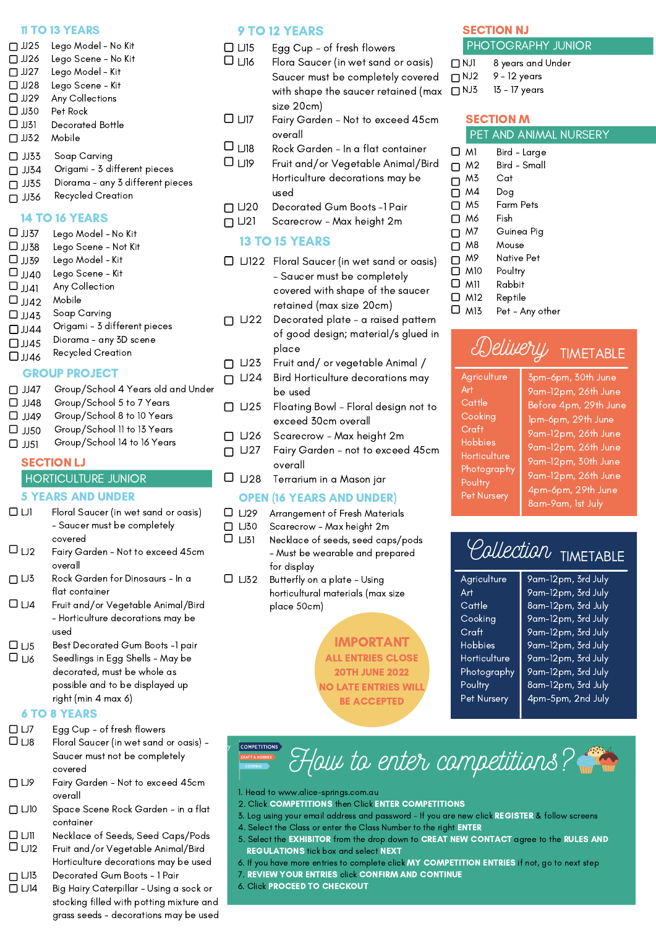#### 11 TO 13 YEARS

- $\Pi$  JJ25  $\Box$  JJ26  $\Box$  JJ27  $\Box$  JJ28  $\Box$  JJ29  $\Box$  JJ30  $\Box$  JJ31  $\Box$  JJ32 Lego Model - No Kit Lego Scene - No Kit Lego Model - Kit Lego Scene - Kit Any Collections Pet Rock Decorated Bottle Mobile  $\Box$  JJ33 Soap Carving
- $\Box$  JJ34 Origami - 3 different pieces
- $\Box$  JJ35 Diorama - any 3 different pieces

#### $\Box$  JJ36 Recycled Creation

#### 14 TO 16 YEARS

 $\Box$  JJ37  $\Box$  JJ38  $\Box$  JJ39  $\Box$  JJ40  $\Box$  JJ41  $\Box$  JJ42  $\Box$  JJ43  $\Box$  JJ44  $\Box$  JJ45  $\Box$  JJ46 Lego Model - No Kit Lego Scene - Not Kit Lego Model - Kit Lego Scene - Kit Any Collection Mobile Soap Carving Origami - 3 different pieces Diorama - any 3D scene Recycled Creation

#### GROUP PROJECT

- $\Box$  JJ47 Group/School 4 Years old and Under
- $\Box$  JJ48 Group/School 5 to 7 Years
- $\Box$  JJ49 Group/School 8 to 10 Years
- $\Box$  JJ50 Group/School 11 to 13 Years
- $\Box$  JJ51 Group/School 14 to 16 Years

#### SECTION LJ

#### HORTICULTURE JUNIOR

#### 5 YEARS AND UNDER

- $\square$ <br/> $\square$  $\Box$ <sub>LJ2</sub>  $\Box$  LJ3 Floral Saucer (in wet sand or oasis) - Saucer must be completely covered Fairy Garden - Not to exceed 45cm overall Rock Garden for Dinosaurs - In a flat container
- $\Box$  LJ4 Fruit and/or Vegetable Animal/Bird - Horticulture decorations may be used
- Best Decorated Gum Boots -1 pair  $\Box$  LJ5
- Seedlings in Egg Shells May be decorated, must be whole as possible and to be displayed up right (min 4 max 6)  $\Box$

#### 6 TO 8 YEARS

- Egg Cup of fresh flowers  $\Box$  LJ7
- -<br>Floral Saucer (in wet sand or oasis) -Saucer must not be completely covered  $\square$   $\square$ y y
- Fairy Garden Not to exceed 45cm overall  $\Box$  LJ9
- Space Scene Rock Garden in a flat container  $\square$  LJ10
- Necklace of Seeds, Seed Caps/Pods  $\square$
- Fruit and/or Vegetable Animal/Bird Horticulture decorations may be used  $\Box$   $\Box$ 12
- Decorated Gum Boots 1 Pair  $\Box$  LJ13
- Big Hairy Caterpillar Using a sock or stocking filled with potting mixture and grass seeds - decorations may be used  $\Box$  LJ14

#### 9 TO 12 YEARS

- $\Box$   $\Box$ 15 Egg Cup - of fresh flowers
- $\Box$   $\Box$ 16 Flora Saucer (in wet sand or oasis) Saucer must be completely covered with shape the saucer retained (max  $\Box$  <code>NJ3</code> size 20cm)
- $\Box$   $\Box$ 17 Fairy Garden - Not to exceed 45cm overall
- $\square$   $\square$ 18 Rock Garden - In a flat container
- $\Box$   $\Box$ 19 Fruit and/or Vegetable Animal/Bird Horticulture decorations may be used
- $\Pi$ LJ20 Decorated Gum Boots -1 Pair
- $\Box$   $\Box$ 21 Scarecrow - Max height 2m

#### 13 TO 15 YEARS

- LJ122 Floral Saucer (in wet sand or oasis) - Saucer must be completely covered with shape of the saucer retained (max size 20cm)
- $\Box$  LJ22 Decorated plate - a raised pattern of good design; material/s glued in place
- $\Box$  LJ23 Fruit and/ or vegetable Animal /
- $\Box$  LJ24 Bird Horticulture decorations may be used
- $\Box$  LJ25 Floating Bowl - Floral design not to exceed 30cm overall
- $\Box$  LJ26 Scarecrow - Max height 2m
- $\Box$  LJ27 Fairy Garden - not to exceed 45cm overall
- $\Box$   $\Box$ 28 Terrarium in a Mason jar

#### OPEN (16 YEARS AND UNDER)

- $\Box$  LJ29 Arrangement of Fresh Materials
- $\Box$  LJ30 Scarecrow - Max height 2m
- $\Box$  LJ31 Necklace of seeds, seed caps/pods - Must be wearable and prepared for display
- $\Box$  LJ32 Butterfly on a plate - Using horticultural materials (max size place 50cm)

#### IMPORTANT ALL ENTRIES CLOSE 20TH JUNE 2022 NO LATE ENTRIES WILL BE ACCEPTED

#### SECTION NJ PHOTOGRAPHY JUNIOR

| $\Box$ NJ1 | 8 years and Under |
|------------|-------------------|
| $\Box$ NJ2 | 9 - 12 years      |

13 - 17 years

#### SECTION M PET AND ANIMAL NURSERY

|     | M1              | Bird - Large    |
|-----|-----------------|-----------------|
|     | M2              | Bird - Small    |
|     | M3              | Cat             |
|     | M4              | Dog             |
|     | M5              | Farm Pets       |
|     | M6              | Fish            |
|     | M7              | Guinea Pig      |
|     | M8              | Mouse           |
|     | M9              | Native Pet      |
| l 1 | M <sub>10</sub> | Poultry         |
| ப   | M11             | Rabbit          |
| ப   | M <sub>12</sub> | Reptile         |
|     | M13             | Pet - Any other |

### Delivery TIMETABLE

| Agriculture    | 3pm-6pm, 30th June    |
|----------------|-----------------------|
| Art            | 9am-12pm, 26th June   |
| Cattle         | Before 4pm, 29th June |
| Cooking        | Ipm-6pm, 29th June    |
| Craft          | 9am-12pm, 26th June   |
| <b>Hobbies</b> | 9am-12pm, 26th June   |
| Horticulture   | 9am-12pm, 30th June   |
| Photography    | 9am-12pm, 26th June   |
| Poultry        | 4pm-6pm, 29th June    |
| Pet Nursery    | 8am-9am, 1st July     |
|                |                       |

 $\ddot{\rm c}$  $H<sub>0</sub>$  $H<sub>0</sub>$  $\overline{P}$  $P<sub>0</sub>$ 

Ag Art Ca  $Co$ Cro  $H_0$ Ho Pho Por Pe

## Collection TIMETABLE

| <sup>.</sup> iculture | 9am-12pm, 3rd July |
|-----------------------|--------------------|
|                       | 9am-12pm, 3rd July |
| ttle                  | 8am-12pm, 3rd July |
| oking                 | 9am-12pm, 3rd July |
| 1ft                   | 9am-12pm, 3rd July |
| obies                 | 9am-12pm, 3rd July |
| ticulture             | 9am-12pm, 3rd July |
| otography             | 9am-12pm, 3rd July |
| ıltry                 | 8am-12pm, 3rd July |
| Nursery               | 4pm-5pm, 2nd July  |
|                       |                    |

**COMPETITIONS** 

How to enter competitions?

- 1. Head to www.alice-springs.com.au
- 2. Click COMPETITIONS then Click ENTER COMPETITIONS
- 3. Log using your email address and password If you are new click REGISTER & follow screens
- 4. Select the Class or enter the Class Number to the right ENTER
- 5. Select the EXHIBITOR from the drop down to CREAT NEW CONTACT agree to the RULES AND REGULATIONS tick box and select NEXT
- 6. If you have more entries to complete click MY COMPETITION ENTRIES if not, go to next step
- 7. REVIEW YOUR ENTRIES click CONFIRM AND CONTINUE
- 6. Click PROCEED TO CHECKOUT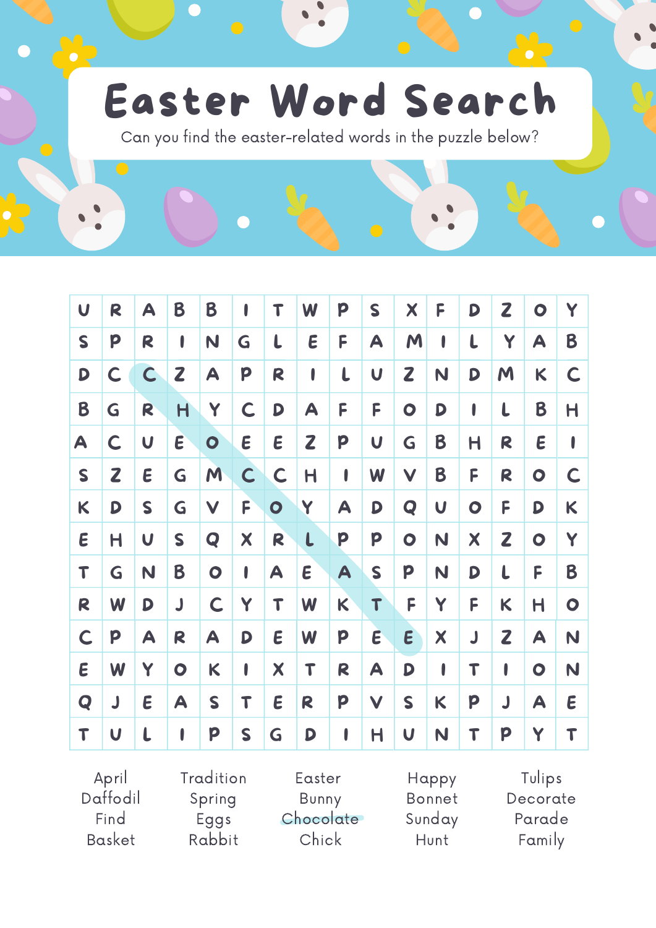## Easter Word Search

Can you find the easter-related words in the puzzle below?

| $\boldsymbol{\mathsf{U}}$ | R | A                         | B                       | B            | I            | Т            | W            | P            | S                         | X                       | F | D         | $\mathbf{z}$ | $\bullet$               | Y         |
|---------------------------|---|---------------------------|-------------------------|--------------|--------------|--------------|--------------|--------------|---------------------------|-------------------------|---|-----------|--------------|-------------------------|-----------|
| $\mathsf{S}$              | p | R                         | ı                       | N            | G            | L            | E            | F            | A                         | M                       | I | L         | Y            | A                       | B         |
| D                         | C | C                         | Z                       | A            | p            | R            | I            | $\mathbf{L}$ | U                         | Z                       | N | D         | M            | K                       | C         |
| B                         | G | R                         | H                       | Y            | C            | D            | A            | F            | F                         | $\bullet$               | D | I         | L            | B                       | Η         |
| A                         | C | $\overline{\mathsf{U}}$   | $\boldsymbol{\epsilon}$ | $\bullet$    | E            | E            | $\mathbf{Z}$ | p            | $\boldsymbol{\mathsf{U}}$ | G                       | B | Η         | R            | E                       | I         |
| S                         | Z | E                         | G                       | M            | $\mathsf{C}$ | $\mathsf{C}$ | $\mathsf{H}$ | I            | W                         | $\checkmark$            | B | F         | R            | $\bullet$               | C         |
| K                         | D | S                         | G                       | $\checkmark$ | F            | $\bullet$    | Y            | A            | D                         | Q                       | U | $\bullet$ | F            | D                       | K         |
| $\boldsymbol{\epsilon}$   | Η | $\boldsymbol{\mathsf{U}}$ | S                       | Q            | X            | R            | $\mathbf{L}$ | p            | P                         | $\bullet$               | N | X         | $\mathbf{Z}$ | $\bullet$               | Y         |
| T                         | G | N                         | B                       | $\bullet$    | I            | A            | E            | A            | S                         | p                       | N | D         | L            | F                       | B         |
| R                         | W | D                         | J                       | $\mathsf{C}$ | Y            | T            | W            | K            | T                         | F                       | Y | F         | K            | $\overline{\mathsf{H}}$ | $\bullet$ |
| $\mathsf{C}$              | p | A                         | R                       | A            | D            | E            | W            | p            | $\boldsymbol{\epsilon}$   | $\epsilon$              | X | J         | $\mathbf{Z}$ | A                       | N         |
| E                         | W | Y                         | $\bullet$               | K            | I            | X            | T            | R            | A                         | D                       | I | T         | I            | $\bullet$               | N         |
| Q                         | J | E                         | A                       | S            | T            | E            | R            | P            | $\checkmark$              | $\mathsf{S}$            | K | p         | J            | A                       | E         |
| T                         | U | L                         | I                       | p            | S            | G            | D            | I            | Η                         | $\overline{\mathsf{U}}$ | N | T         | p            | Y                       | T         |

April Daffodil Find Basket Tradition Spring Eggs Rabbit Easter Bunny **Chocolate** Chick Tulips Decorate Parade Family Happy Bonnet Sunday Hunt